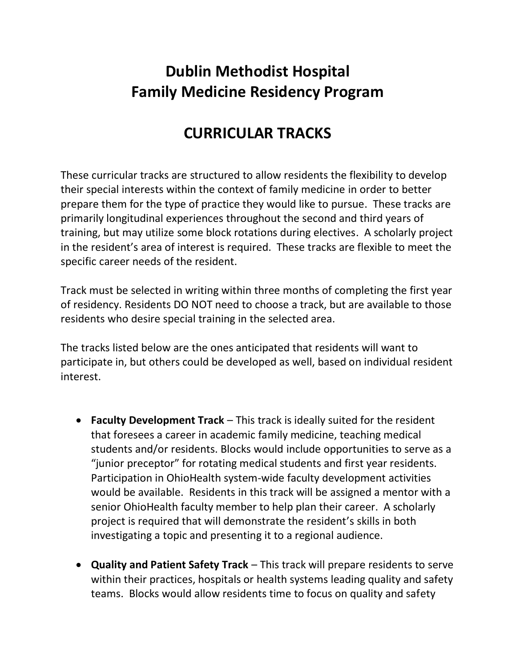## **Dublin Methodist Hospital Family Medicine Residency Program**

## **CURRICULAR TRACKS**

These curricular tracks are structured to allow residents the flexibility to develop their special interests within the context of family medicine in order to better prepare them for the type of practice they would like to pursue. These tracks are primarily longitudinal experiences throughout the second and third years of training, but may utilize some block rotations during electives. A scholarly project in the resident's area of interest is required. These tracks are flexible to meet the specific career needs of the resident.

Track must be selected in writing within three months of completing the first year of residency. Residents DO NOT need to choose a track, but are available to those residents who desire special training in the selected area.

The tracks listed below are the ones anticipated that residents will want to participate in, but others could be developed as well, based on individual resident interest.

- **Faculty Development Track** This track is ideally suited for the resident that foresees a career in academic family medicine, teaching medical students and/or residents. Blocks would include opportunities to serve as a "junior preceptor" for rotating medical students and first year residents. Participation in OhioHealth system-wide faculty development activities would be available. Residents in this track will be assigned a mentor with a senior OhioHealth faculty member to help plan their career. A scholarly project is required that will demonstrate the resident's skills in both investigating a topic and presenting it to a regional audience.
- **Quality and Patient Safety Track** This track will prepare residents to serve within their practices, hospitals or health systems leading quality and safety teams. Blocks would allow residents time to focus on quality and safety